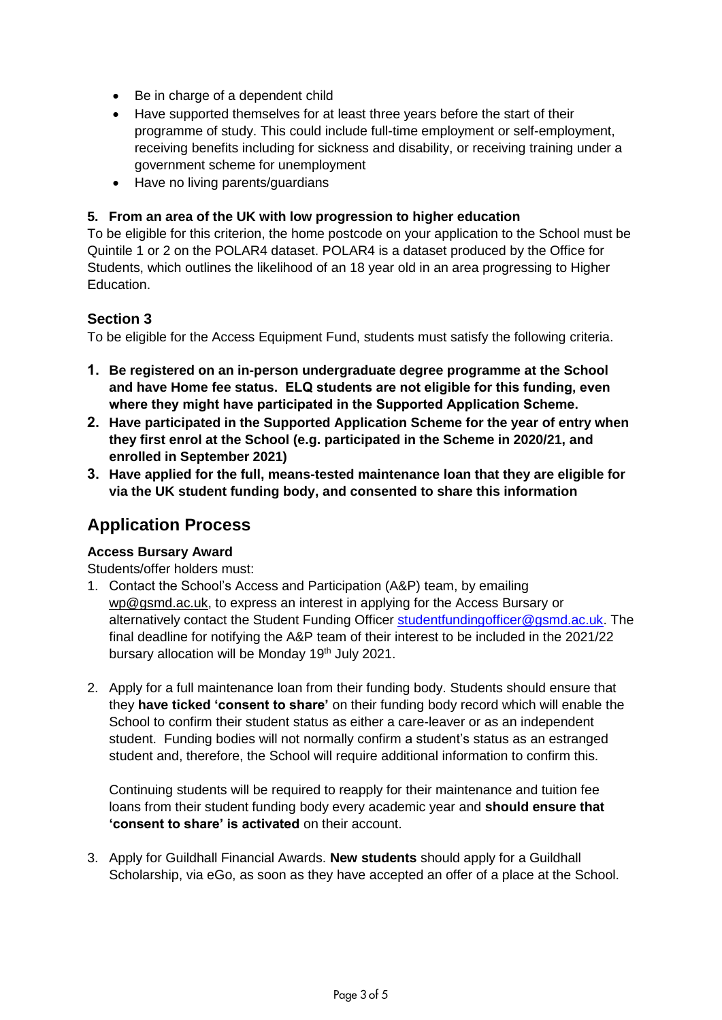- Be in charge of a dependent child
- Have supported themselves for at least three years before the start of their programme of study. This could include full-time employment or self-employment, receiving benefits including for sickness and disability, or receiving training under a government scheme for unemployment
- Have no living parents/guardians

#### **5. From an area of the UK with low progression to higher education**

To be eligible for this criterion, the home postcode on your application to the School must be Quintile 1 or 2 on the POLAR4 dataset. POLAR4 is a dataset produced by the Office for Students, which outlines the likelihood of an 18 year old in an area progressing to Higher Education.

### **Section 3**

To be eligible for the Access Equipment Fund, students must satisfy the following criteria.

- **1. Be registered on an in-person undergraduate degree programme at the School and have Home fee status. ELQ students are not eligible for this funding, even where they might have participated in the Supported Application Scheme.**
- **2. Have participated in the Supported Application Scheme for the year of entry when they first enrol at the School (e.g. participated in the Scheme in 2020/21, and enrolled in September 2021)**
- **3. Have applied for the full, means-tested maintenance loan that they are eligible for via the UK student funding body, and consented to share this information**

## **Application Process**

#### **Access Bursary Award**

Students/offer holders must:

- 1. Contact the School's Access and Participation (A&P) team, by emailing wp@gsmd.ac.uk, to express an interest in applying for the Access Bursary or alternatively contact the Student Funding Officer [studentfundingofficer@gsmd.ac.uk.](mailto:studentfundingofficer@gsmd.ac.uk) The final deadline for notifying the A&P team of their interest to be included in the 2021/22 bursary allocation will be Monday 19<sup>th</sup> July 2021.
- 2. Apply for a full maintenance loan from their funding body. Students should ensure that they **have ticked 'consent to share'** on their funding body record which will enable the School to confirm their student status as either a care-leaver or as an independent student. Funding bodies will not normally confirm a student's status as an estranged student and, therefore, the School will require additional information to confirm this.

Continuing students will be required to reapply for their maintenance and tuition fee loans from their student funding body every academic year and **should ensure that 'consent to share' is activated** on their account.

3. Apply for Guildhall Financial Awards. **New students** should apply for a Guildhall Scholarship, via eGo, as soon as they have accepted an offer of a place at the School.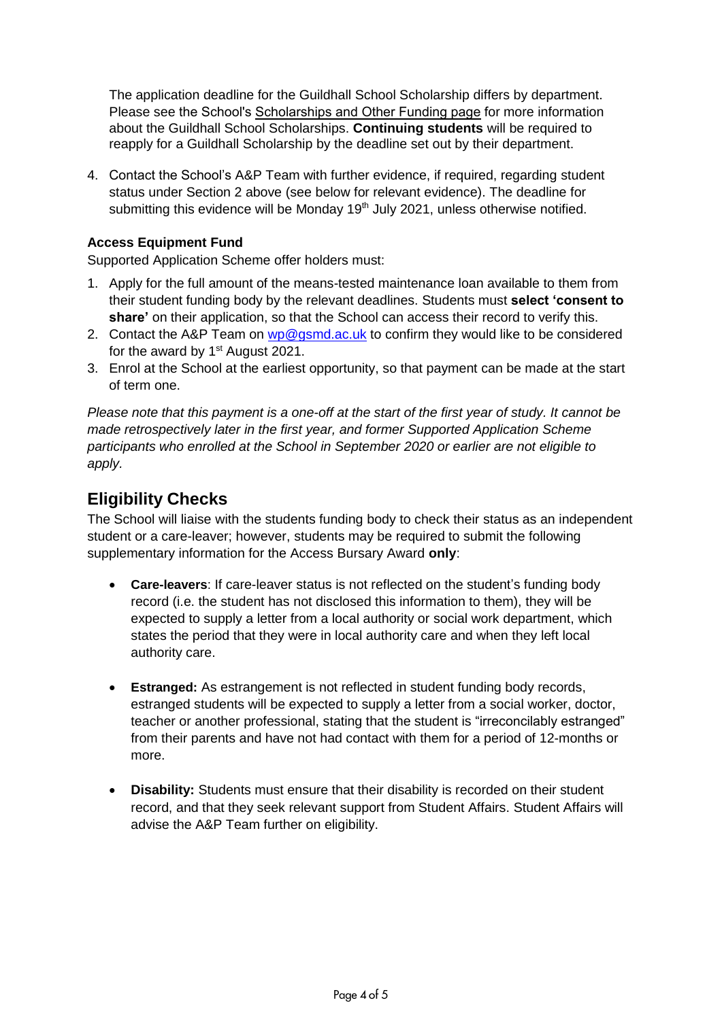The application deadline for the Guildhall School Scholarship differs by department. Please see the School's [Scholarships and Other Funding page f](http://www.gsmd.ac.uk/about_the_school/shared_left_nav/fees_and_funding/guildhall_sc hool_scholarships_and_other_funding/)or more information [about the Guildhall School Scholarships.](http://www.gsmd.ac.uk/about_the_school/shared_left_nav/fees_and_funding/guildhall_school_scholarships_and_other_funding/) **Continuing students** will be required to [reapply for a Guildhall Scholarship by th](http://www.gsmd.ac.uk/about_the_school/shared_left_nav/fees_and_funding/guildhall_school_scholarships_and_other_funding/)e deadline set out by their department.

4. Contact the School's A&P Team with further evidence, if required, regarding student status under Section 2 above (see below for relevant evidence). The deadline for submitting this evidence will be Monday 19<sup>th</sup> July 2021, unless otherwise notified.

### **Access Equipment Fund**

Supported Application Scheme offer holders must:

- 1. Apply for the full amount of the means-tested maintenance loan available to them from their student funding body by the relevant deadlines. Students must **select 'consent to share'** on their application, so that the School can access their record to verify this.
- 2. Contact the A&P Team on [wp@gsmd.ac.uk](mailto:wp@gsmd.ac.uk) to confirm they would like to be considered for the award by  $1<sup>st</sup>$  August 2021.
- 3. Enrol at the School at the earliest opportunity, so that payment can be made at the start of term one.

*Please note that this payment is a one-off at the start of the first year of study. It cannot be made retrospectively later in the first year, and former Supported Application Scheme participants who enrolled at the School in September 2020 or earlier are not eligible to apply.* 

# **Eligibility Checks**

The School will liaise with the students funding body to check their status as an independent student or a care-leaver; however, students may be required to submit the following supplementary information for the Access Bursary Award **only**:

- **Care-leavers**: If care-leaver status is not reflected on the student's funding body record (i.e. the student has not disclosed this information to them), they will be expected to supply a letter from a local authority or social work department, which states the period that they were in local authority care and when they left local authority care.
- **Estranged:** As estrangement is not reflected in student funding body records, estranged students will be expected to supply a letter from a social worker, doctor, teacher or another professional, stating that the student is "irreconcilably estranged" from their parents and have not had contact with them for a period of 12-months or more.
- **Disability:** Students must ensure that their disability is recorded on their student record, and that they seek relevant support from Student Affairs. Student Affairs will advise the A&P Team further on eligibility.